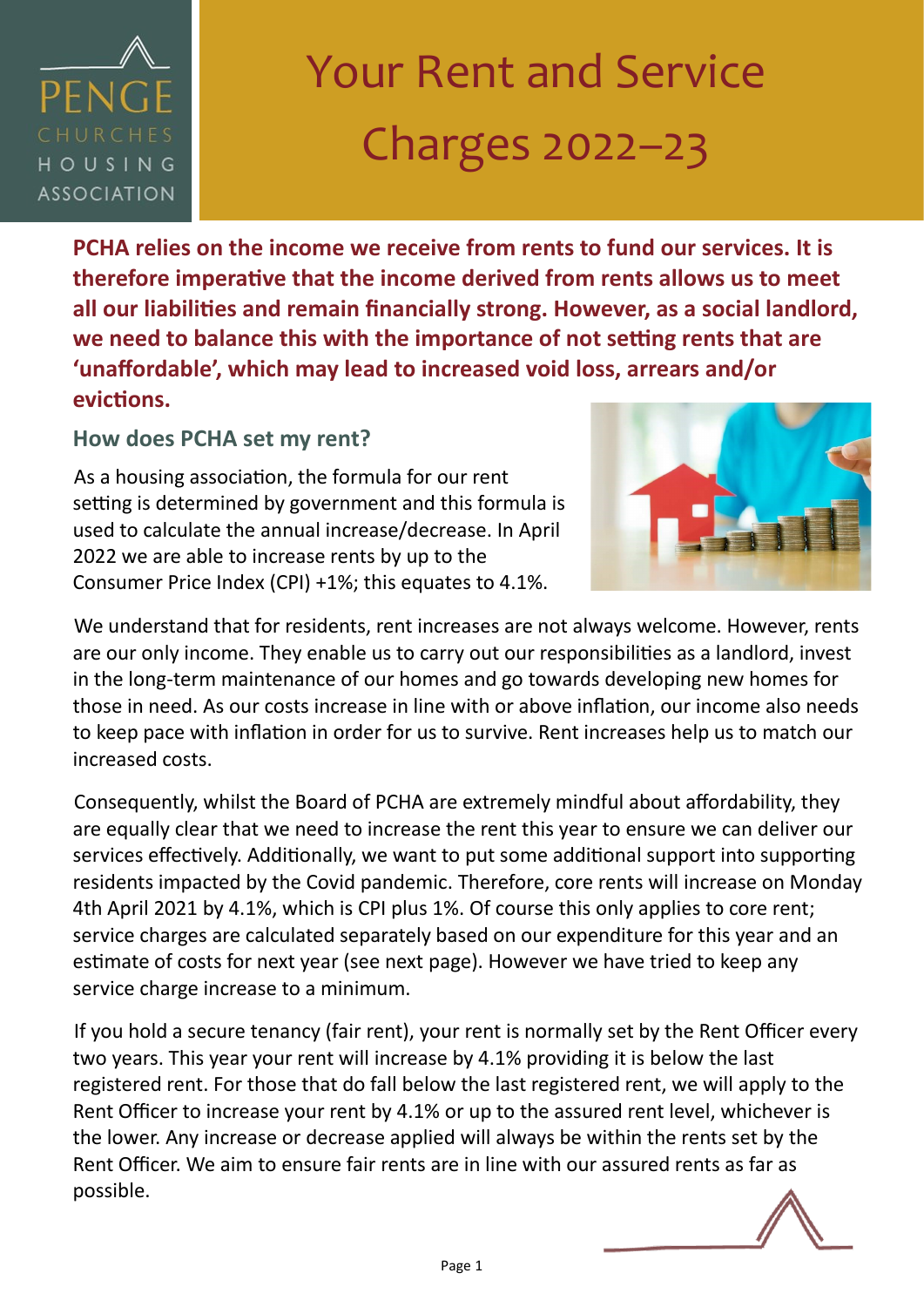### PFN HOUSING **ASSOCIATION**

# Your Rent and Service Charges 2022–23

**PCHA relies on the income we receive from rents to fund our services. It is therefore imperative that the income derived from rents allows us to meet all our liabilities and remain financially strong. However, as a social landlord, we need to balance this with the importance of not setting rents that are 'unaffordable', which may lead to increased void loss, arrears and/or evictions.** 

**How does PCHA set my rent?**

As a housing association, the formula for our rent setting is determined by government and this formula is used to calculate the annual increase/decrease. In April 2022 we are able to increase rents by up to the Consumer Price Index (CPI) +1%; this equates to 4.1%.



We understand that for residents, rent increases are not always welcome. However, rents are our only income. They enable us to carry out our responsibilities as a landlord, invest in the long-term maintenance of our homes and go towards developing new homes for those in need. As our costs increase in line with or above inflation, our income also needs to keep pace with inflation in order for us to survive. Rent increases help us to match our increased costs.

Consequently, whilst the Board of PCHA are extremely mindful about affordability, they are equally clear that we need to increase the rent this year to ensure we can deliver our services effectively. Additionally, we want to put some additional support into supporting residents impacted by the Covid pandemic. Therefore, core rents will increase on Monday 4th April 2021 by 4.1%, which is CPI plus 1%. Of course this only applies to core rent; service charges are calculated separately based on our expenditure for this year and an estimate of costs for next year (see next page). However we have tried to keep any service charge increase to a minimum.

If you hold a secure tenancy (fair rent), your rent is normally set by the Rent Officer every two years. This year your rent will increase by 4.1% providing it is below the last registered rent. For those that do fall below the last registered rent, we will apply to the Rent Officer to increase your rent by 4.1% or up to the assured rent level, whichever is the lower. Any increase or decrease applied will always be within the rents set by the Rent Officer. We aim to ensure fair rents are in line with our assured rents as far as possible.